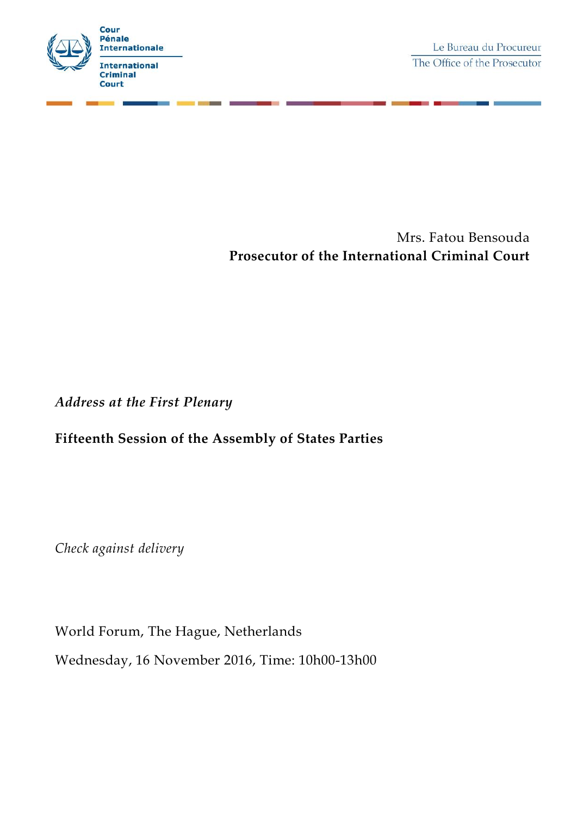

Mrs. Fatou Bensouda **Prosecutor of the International Criminal Court**

*Address at the First Plenary*

## **Fifteenth Session of the Assembly of States Parties**

*Check against delivery*

World Forum, The Hague, Netherlands Wednesday, 16 November 2016, Time: 10h00-13h00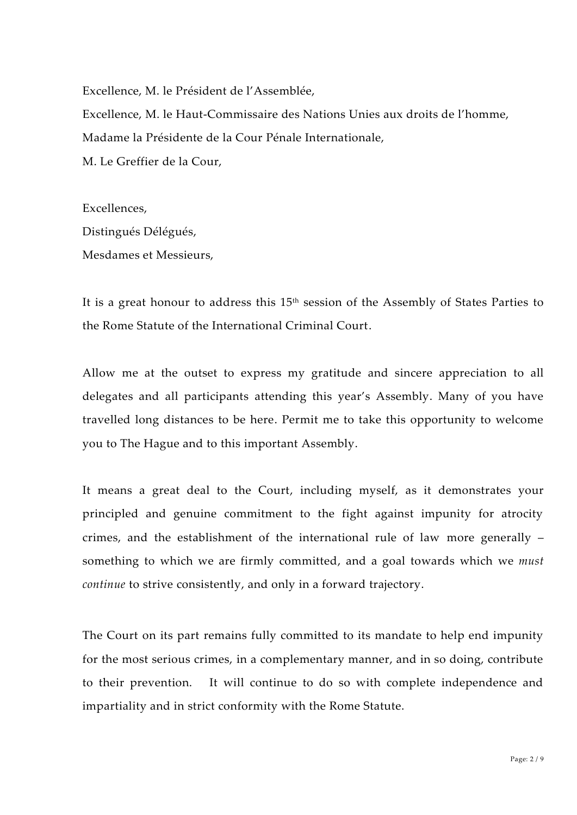Excellence, M. le Président de l'Assemblée,

Excellence, M. le Haut-Commissaire des Nations Unies aux droits de l'homme, Madame la Présidente de la Cour Pénale Internationale, M. Le Greffier de la Cour,

Excellences, Distingués Délégués, Mesdames et Messieurs,

It is a great honour to address this 15<sup>th</sup> session of the Assembly of States Parties to the Rome Statute of the International Criminal Court.

Allow me at the outset to express my gratitude and sincere appreciation to all delegates and all participants attending this year's Assembly. Many of you have travelled long distances to be here. Permit me to take this opportunity to welcome you to The Hague and to this important Assembly.

It means a great deal to the Court, including myself, as it demonstrates your principled and genuine commitment to the fight against impunity for atrocity crimes, and the establishment of the international rule of law more generally – something to which we are firmly committed, and a goal towards which we *must continue* to strive consistently, and only in a forward trajectory.

The Court on its part remains fully committed to its mandate to help end impunity for the most serious crimes, in a complementary manner, and in so doing, contribute to their prevention. It will continue to do so with complete independence and impartiality and in strict conformity with the Rome Statute.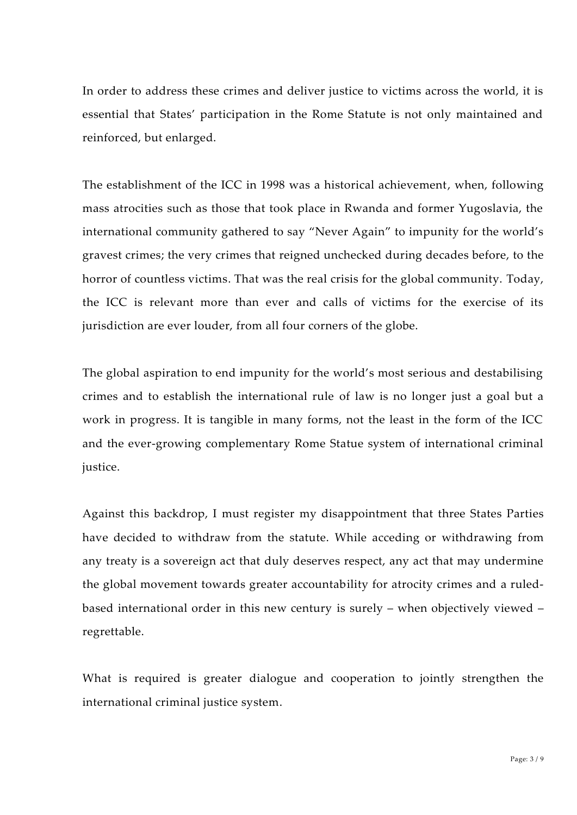In order to address these crimes and deliver justice to victims across the world, it is essential that States' participation in the Rome Statute is not only maintained and reinforced, but enlarged.

The establishment of the ICC in 1998 was a historical achievement, when, following mass atrocities such as those that took place in Rwanda and former Yugoslavia, the international community gathered to say "Never Again" to impunity for the world's gravest crimes; the very crimes that reigned unchecked during decades before, to the horror of countless victims. That was the real crisis for the global community. Today, the ICC is relevant more than ever and calls of victims for the exercise of its jurisdiction are ever louder, from all four corners of the globe.

The global aspiration to end impunity for the world's most serious and destabilising crimes and to establish the international rule of law is no longer just a goal but a work in progress. It is tangible in many forms, not the least in the form of the ICC and the ever-growing complementary Rome Statue system of international criminal justice.

Against this backdrop, I must register my disappointment that three States Parties have decided to withdraw from the statute. While acceding or withdrawing from any treaty is a sovereign act that duly deserves respect, any act that may undermine the global movement towards greater accountability for atrocity crimes and a ruled based international order in this new century is surely – when objectively viewed – regrettable.

What is required is greater dialogue and cooperation to jointly strengthen the international criminal justice system.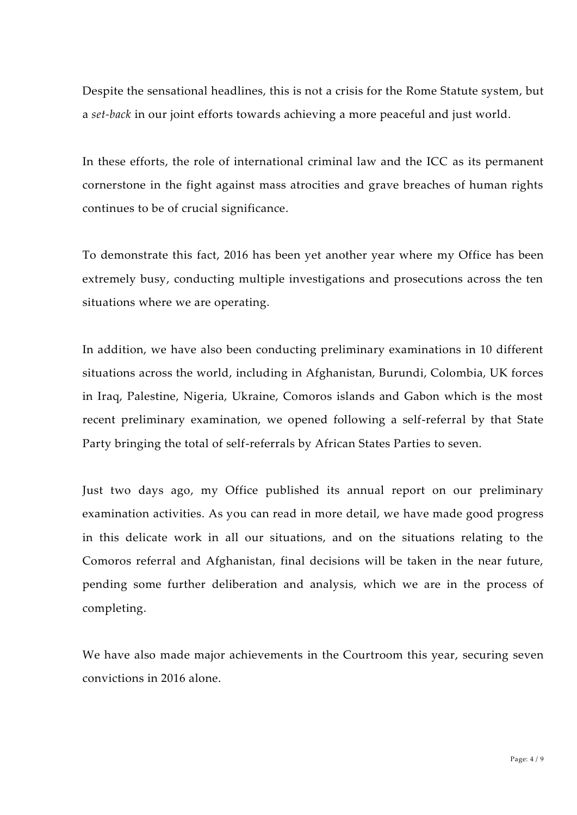Despite the sensational headlines, this is not a crisis for the Rome Statute system, but a *set-back* in our joint efforts towards achieving a more peaceful and just world.

In these efforts, the role of international criminal law and the ICC as its permanent cornerstone in the fight against mass atrocities and grave breaches of human rights continues to be of crucial significance.

To demonstrate this fact, 2016 has been yet another year where my Office has been extremely busy, conducting multiple investigations and prosecutions across the ten situations where we are operating.

In addition, we have also been conducting preliminary examinations in 10 different situations across the world, including in Afghanistan, Burundi, Colombia, UK forces in Iraq, Palestine, Nigeria, Ukraine, Comoros islands and Gabon which is the most recent preliminary examination, we opened following a self-referral by that State Party bringing the total of self-referrals by African States Parties to seven.

Just two days ago, my Office published its annual report on our preliminary examination activities. As you can read in more detail, we have made good progress in this delicate work in all our situations, and on the situations relating to the Comoros referral and Afghanistan, final decisions will be taken in the near future, pending some further deliberation and analysis, which we are in the process of completing.

We have also made major achievements in the Courtroom this year, securing seven convictions in 2016 alone.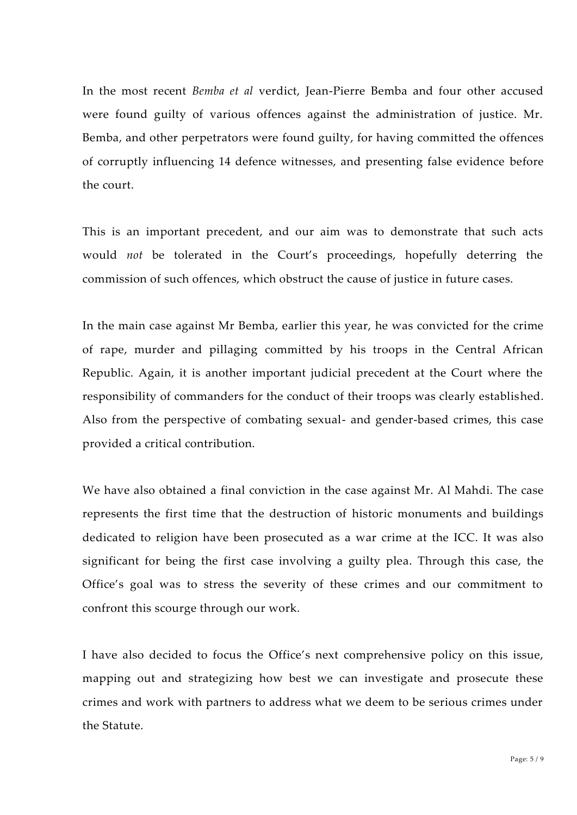In the most recent *Bemba et al* verdict, Jean-Pierre Bemba and four other accused were found guilty of various offences against the administration of justice. Mr. Bemba, and other perpetrators were found guilty, for having committed the offences of corruptly influencing 14 defence witnesses, and presenting false evidence before the court.

This is an important precedent, and our aim was to demonstrate that such acts would *not* be tolerated in the Court's proceedings, hopefully deterring the commission of such offences, which obstruct the cause of justice in future cases.

In the main case against Mr Bemba, earlier this year, he was convicted for the crime of rape, murder and pillaging committed by his troops in the Central African Republic. Again, it is another important judicial precedent at the Court where the responsibility of commanders for the conduct of their troops was clearly established. Also from the perspective of combating sexual- and gender-based crimes, this case provided a critical contribution.

We have also obtained a final conviction in the case against Mr. Al Mahdi. The case represents the first time that the destruction of historic monuments and buildings dedicated to religion have been prosecuted as a war crime at the ICC. It was also significant for being the first case involving a guilty plea. Through this case, the Office's goal was to stress the severity of these crimes and our commitment to confront this scourge through our work.

I have also decided to focus the Office's next comprehensive policy on this issue, mapping out and strategizing how best we can investigate and prosecute these crimes and work with partners to address what we deem to be serious crimes under the Statute.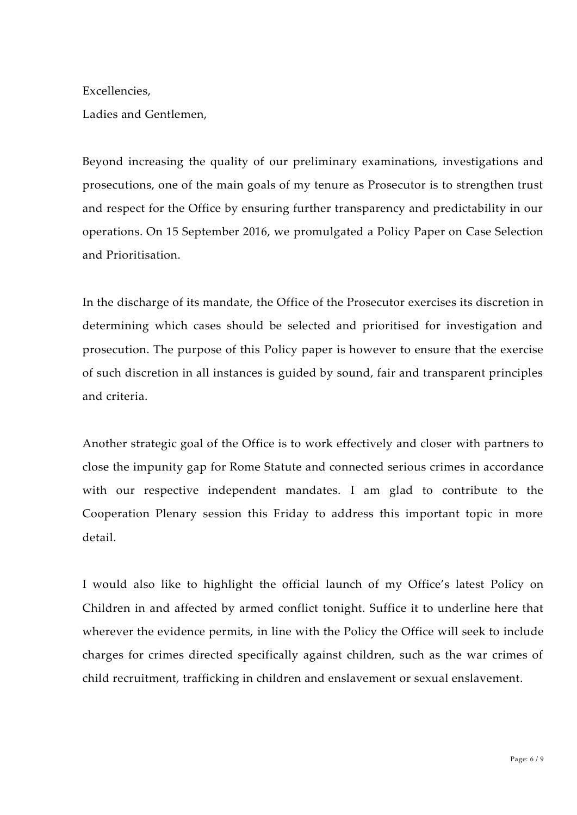Excellencies,

Ladies and Gentlemen,

Beyond increasing the quality of our preliminary examinations, investigations and prosecutions, one of the main goals of my tenure as Prosecutor is to strengthen trust and respect for the Office by ensuring further transparency and predictability in our operations. On 15 September 2016, we promulgated a Policy Paper on Case Selection and Prioritisation.

In the discharge of its mandate, the Office of the Prosecutor exercises its discretion in determining which cases should be selected and prioritised for investigation and prosecution. The purpose of this Policy paper is however to ensure that the exercise of such discretion in all instances is guided by sound, fair and transparent principles and criteria.

Another strategic goal of the Office is to work effectively and closer with partners to close the impunity gap for Rome Statute and connected serious crimes in accordance with our respective independent mandates. I am glad to contribute to the Cooperation Plenary session this Friday to address this important topic in more detail.

I would also like to highlight the official launch of my Office's latest Policy on Children in and affected by armed conflict tonight. Suffice it to underline here that wherever the evidence permits, in line with the Policy the Office will seek to include charges for crimes directed specifically against children, such as the war crimes of child recruitment, trafficking in children and enslavement or sexual enslavement.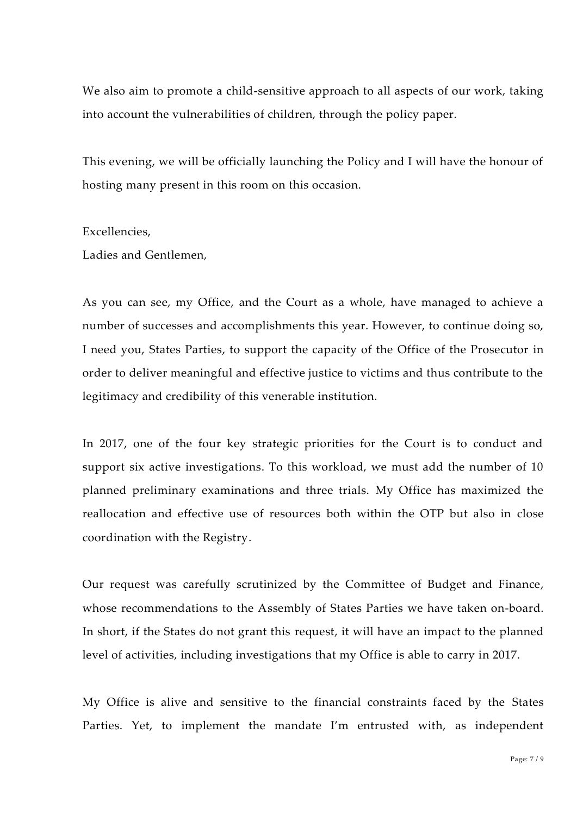We also aim to promote a child-sensitive approach to all aspects of our work, taking into account the vulnerabilities of children, through the policy paper.

This evening, we will be officially launching the Policy and I will have the honour of hosting many present in this room on this occasion.

Excellencies,

Ladies and Gentlemen,

As you can see, my Office, and the Court as a whole, have managed to achieve a number of successes and accomplishments this year. However, to continue doing so, I need you, States Parties, to support the capacity of the Office of the Prosecutor in order to deliver meaningful and effective justice to victims and thus contribute to the legitimacy and credibility of this venerable institution.

In 2017, one of the four key strategic priorities for the Court is to conduct and support six active investigations. To this workload, we must add the number of 10 planned preliminary examinations and three trials. My Office has maximized the reallocation and effective use of resources both within the OTP but also in close coordination with the Registry.

Our request was carefully scrutinized by the Committee of Budget and Finance, whose recommendations to the Assembly of States Parties we have taken on-board. In short, if the States do not grant this request, it will have an impact to the planned level of activities, including investigations that my Office is able to carry in 2017.

My Office is alive and sensitive to the financial constraints faced by the States Parties. Yet, to implement the mandate I'm entrusted with, as independent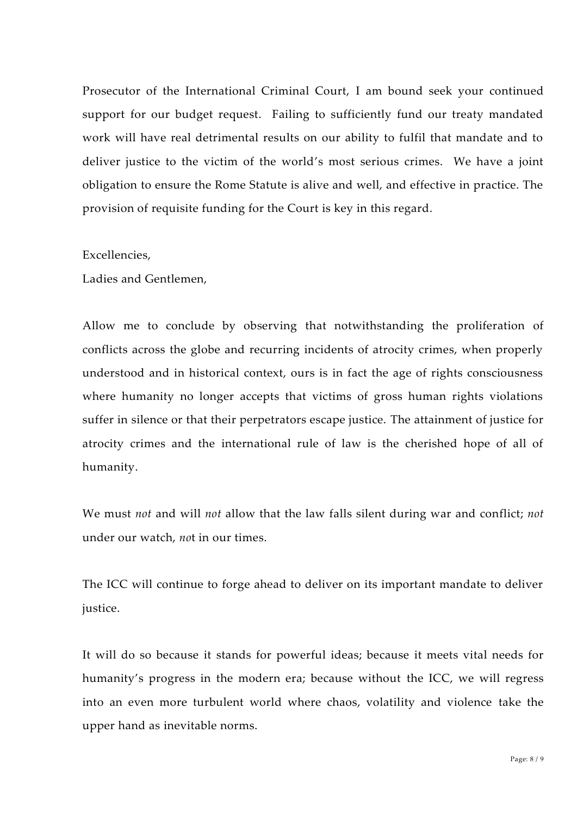Prosecutor of the International Criminal Court, I am bound seek your continued support for our budget request. Failing to sufficiently fund our treaty mandated work will have real detrimental results on our ability to fulfil that mandate and to deliver justice to the victim of the world's most serious crimes. We have a joint obligation to ensure the Rome Statute is alive and well, and effective in practice. The provision of requisite funding for the Court is key in this regard.

## Excellencies,

Ladies and Gentlemen,

Allow me to conclude by observing that notwithstanding the proliferation of conflicts across the globe and recurring incidents of atrocity crimes, when properly understood and in historical context, ours is in fact the age of rights consciousness where humanity no longer accepts that victims of gross human rights violations suffer in silence or that their perpetrators escape justice. The attainment of justice for atrocity crimes and the international rule of law is the cherished hope of all of humanity.

We must *not* and will *not* allow that the law falls silent during war and conflict; *not* under our watch, *no*t in our times.

The ICC will continue to forge ahead to deliver on its important mandate to deliver justice.

It will do so because it stands for powerful ideas; because it meets vital needs for humanity's progress in the modern era; because without the ICC, we will regress into an even more turbulent world where chaos, volatility and violence take the upper hand as inevitable norms.